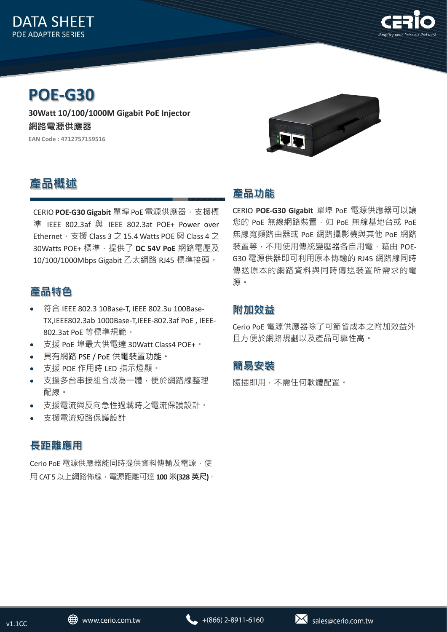



# **POE-G30**

**30Watt 10/100/1000M Gigabit PoE Injector 網路電源供應器 EAN Code : 4712757159516**



# **產品概述**

CERIO **POE-G30 Gigabit** 單埠 PoE 電源供應器,支援標 準 IEEE 802.3af 與 IEEE 802.3at POE+ Power over Ethernet, 支援 Class 3 之 15.4 Watts POE 與 Class 4 之 30Watts POE+ 標準,提供了 DC 54V PoE 網路電壓及 10/100/1000Mbps Gigabit 乙太網路 RJ45 標準接頭。

## **產品特色**

- 符合 IEEE 802.3 10Base-T, IEEE 802.3u 100Base-TX,IEEE802.3ab 1000Base-T,IEEE-802.3af PoE , IEEE-802.3at PoE 等標準規範。
- 支援 PoE 埠最大供電達 30Watt Class4 POE+。
- 具有網路 PSE / PoE 供電裝置功能。
- 支援 POE 作用時 LED 指示燈顯。
- 支援多台串接組合成為一體,便於網路線整理 配線。
- 支援電流與反向急性過載時之電流保護設計。
- 支援電流短路保護設計

#### **長距離應用**

Cerio PoE 電源供應器能同時提供資料傳輸及電源, 使 用 CAT 5 以上網路佈線,電源距離可達 **100 米(328 英尺)**。

### **產品功能**

CERIO **POE-G30 Gigabit** 單埠 PoE 電源供應器可以讓 您的 PoE 無線網路裝置, 如 PoE 無線基地台或 PoE 無線寬頻路由器或 PoE 網路攝影機與其他 PoE 網路 裝置等,不用使用傳統變壓器各自用電,藉由 POE-G30 電源供器即可利用原本傳輸的 RJ45 網路線同時 傳送原本的網路資料與同時傳送裝置所需求的電 源。

#### **附加效益**

Cerio PoE 電源供應器除了可節省成本之附加效益外 且方便於網路規劃以及產品可靠性高。

#### **簡易安裝**

隨插即用,不需任何軟體配置。

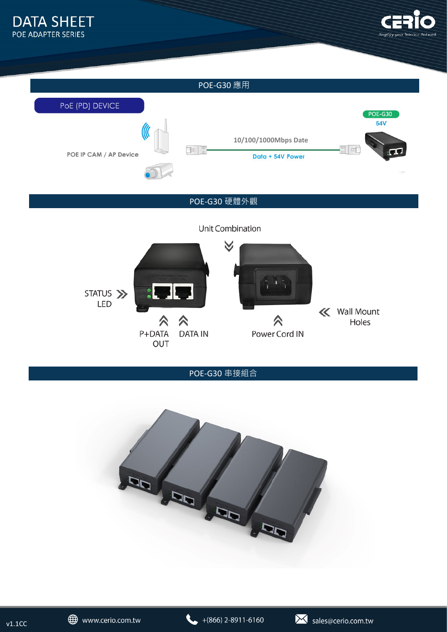



#### POE-G30 硬體外觀

Unit Combination



POE-G30 串接組合



 $v1.1CC$